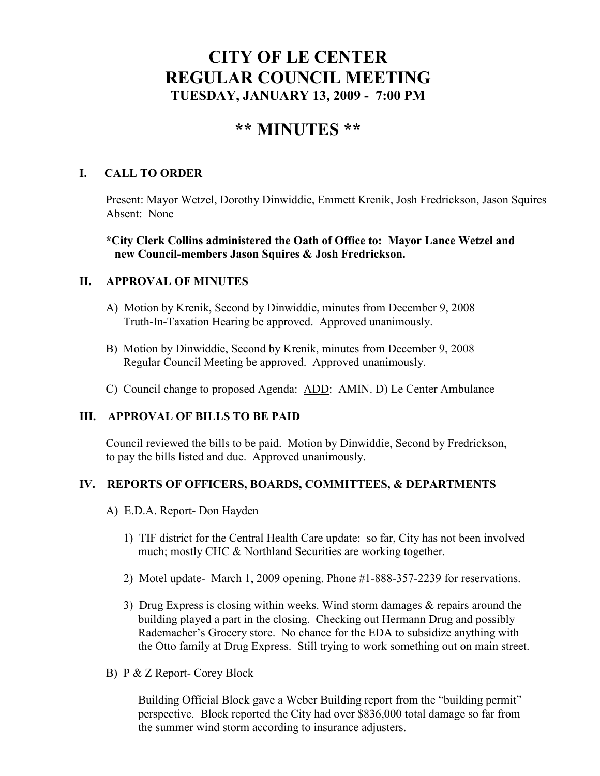# **CITY OF LE CENTER REGULAR COUNCIL MEETING TUESDAY, JA UARY 13, 2009 - 7:00 PM**

# **\*\* MI UTES \*\***

# **I. CALL TO ORDER**

Present: Mayor Wetzel, Dorothy Dinwiddie, Emmett Krenik, Josh Fredrickson, Jason Squires Absent: None

# **\*City Clerk Collins administered the Oath of Office to: Mayor Lance Wetzel and new Council-members Jason Squires & Josh Fredrickson.**

# **II. APPROVAL OF MINUTES**

- A) Motion by Krenik, Second by Dinwiddie, minutes from December 9, 2008 Truth-In-Taxation Hearing be approved. Approved unanimously.
- B) Motion by Dinwiddie, Second by Krenik, minutes from December 9, 2008 Regular Council Meeting be approved. Approved unanimously.
- C) Council change to proposed Agenda: ADD: AMIN. D) Le Center Ambulance

## **III. APPROVAL OF BILLS TO BE PAID**

Council reviewed the bills to be paid. Motion by Dinwiddie, Second by Fredrickson, to pay the bills listed and due. Approved unanimously.

# **IV. REPORTS OF OFFICERS, BOARDS, COMMITTEES, & DEPARTME TS**

- A) E.D.A. Report- Don Hayden
	- 1) TIF district for the Central Health Care update: so far, City has not been involved much; mostly CHC & Northland Securities are working together.
	- 2) Motel update- March 1, 2009 opening. Phone #1-888-357-2239 for reservations.
	- 3) Drug Express is closing within weeks. Wind storm damages & repairs around the building played a part in the closing. Checking out Hermann Drug and possibly Rademacher's Grocery store. No chance for the EDA to subsidize anything with the Otto family at Drug Express. Still trying to work something out on main street.
- B) P & Z Report- Corey Block

 Building Official Block gave a Weber Building report from the "building permit" perspective. Block reported the City had over \$836,000 total damage so far from the summer wind storm according to insurance adjusters.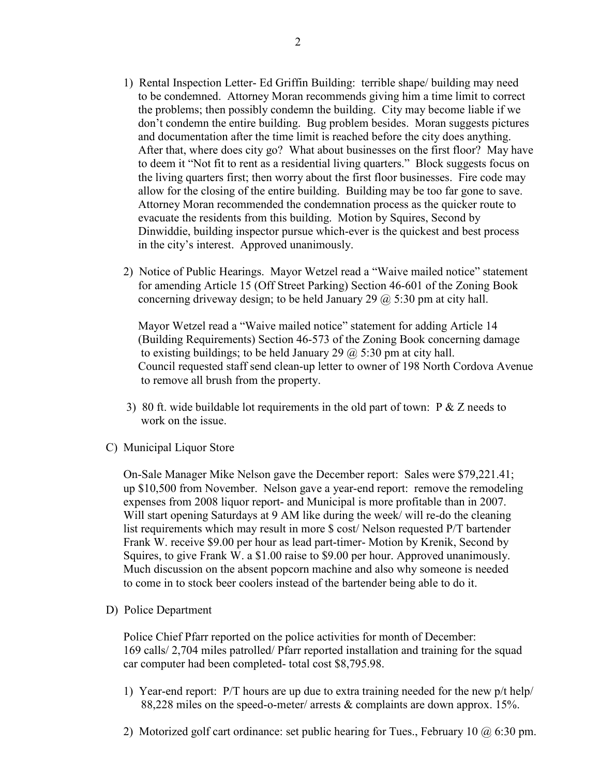- 1) Rental Inspection Letter- Ed Griffin Building: terrible shape/ building may need to be condemned. Attorney Moran recommends giving him a time limit to correct the problems; then possibly condemn the building. City may become liable if we don't condemn the entire building. Bug problem besides. Moran suggests pictures and documentation after the time limit is reached before the city does anything. After that, where does city go? What about businesses on the first floor? May have to deem it "Not fit to rent as a residential living quarters." Block suggests focus on the living quarters first; then worry about the first floor businesses. Fire code may allow for the closing of the entire building. Building may be too far gone to save. Attorney Moran recommended the condemnation process as the quicker route to evacuate the residents from this building. Motion by Squires, Second by Dinwiddie, building inspector pursue which-ever is the quickest and best process in the city's interest. Approved unanimously.
- 2) Notice of Public Hearings. Mayor Wetzel read a "Waive mailed notice" statement for amending Article 15 (Off Street Parking) Section 46-601 of the Zoning Book concerning driveway design; to be held January 29  $\omega$  5:30 pm at city hall.

 Mayor Wetzel read a "Waive mailed notice" statement for adding Article 14 (Building Requirements) Section 46-573 of the Zoning Book concerning damage to existing buildings; to be held January 29  $\omega$  5:30 pm at city hall. Council requested staff send clean-up letter to owner of 198 North Cordova Avenue to remove all brush from the property.

- 3) 80 ft. wide buildable lot requirements in the old part of town: P & Z needs to work on the issue.
- C) Municipal Liquor Store

On-Sale Manager Mike Nelson gave the December report: Sales were \$79,221.41; up \$10,500 from November. Nelson gave a year-end report: remove the remodeling expenses from 2008 liquor report- and Municipal is more profitable than in 2007. Will start opening Saturdays at 9 AM like during the week/ will re-do the cleaning list requirements which may result in more \$ cost/ Nelson requested P/T bartender Frank W. receive \$9.00 per hour as lead part-timer- Motion by Krenik, Second by Squires, to give Frank W. a \$1.00 raise to \$9.00 per hour. Approved unanimously. Much discussion on the absent popcorn machine and also why someone is needed to come in to stock beer coolers instead of the bartender being able to do it.

D) Police Department

Police Chief Pfarr reported on the police activities for month of December: 169 calls/ 2,704 miles patrolled/ Pfarr reported installation and training for the squad car computer had been completed- total cost \$8,795.98.

- 1) Year-end report: P/T hours are up due to extra training needed for the new p/t help/ 88,228 miles on the speed-o-meter/ arrests & complaints are down approx. 15%.
- 2) Motorized golf cart ordinance: set public hearing for Tues., February 10 @ 6:30 pm.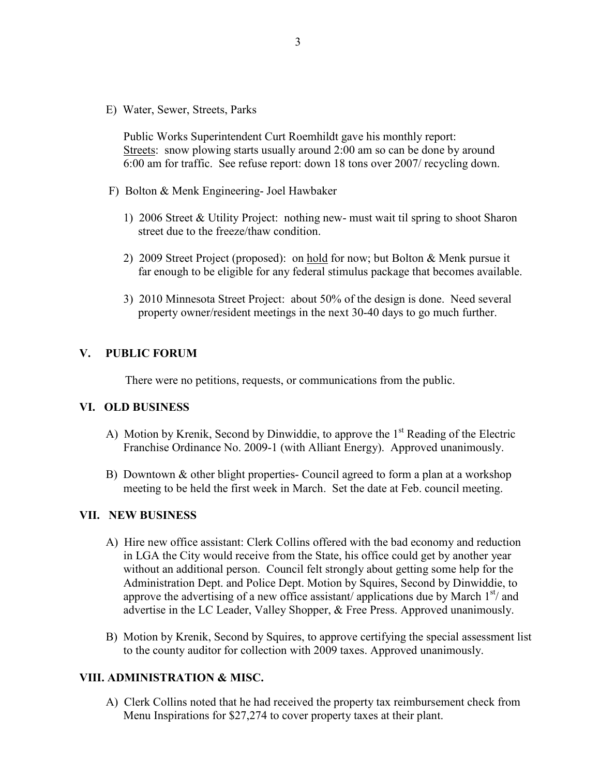E) Water, Sewer, Streets, Parks

 Public Works Superintendent Curt Roemhildt gave his monthly report: Streets: snow plowing starts usually around 2:00 am so can be done by around 6:00 am for traffic. See refuse report: down 18 tons over 2007/ recycling down.

- F) Bolton & Menk Engineering- Joel Hawbaker
	- 1) 2006 Street & Utility Project: nothing new- must wait til spring to shoot Sharon street due to the freeze/thaw condition.
	- 2) 2009 Street Project (proposed): on hold for now; but Bolton & Menk pursue it far enough to be eligible for any federal stimulus package that becomes available.
	- 3) 2010 Minnesota Street Project: about 50% of the design is done. Need several property owner/resident meetings in the next 30-40 days to go much further.

#### **V. PUBLIC FORUM**

There were no petitions, requests, or communications from the public.

#### **VI. OLD BUSI ESS**

- A) Motion by Krenik, Second by Dinwiddie, to approve the 1<sup>st</sup> Reading of the Electric Franchise Ordinance No. 2009-1 (with Alliant Energy). Approved unanimously.
- B) Downtown & other blight properties- Council agreed to form a plan at a workshop meeting to be held the first week in March. Set the date at Feb. council meeting.

#### **VII. EW BUSI ESS**

- A) Hire new office assistant: Clerk Collins offered with the bad economy and reduction in LGA the City would receive from the State, his office could get by another year without an additional person. Council felt strongly about getting some help for the Administration Dept. and Police Dept. Motion by Squires, Second by Dinwiddie, to approve the advertising of a new office assistant/ applications due by March  $1<sup>st</sup>$  and advertise in the LC Leader, Valley Shopper, & Free Press. Approved unanimously.
- B) Motion by Krenik, Second by Squires, to approve certifying the special assessment list to the county auditor for collection with 2009 taxes. Approved unanimously.

#### **VIII. ADMI ISTRATIO & MISC.**

 A) Clerk Collins noted that he had received the property tax reimbursement check from Menu Inspirations for \$27,274 to cover property taxes at their plant.